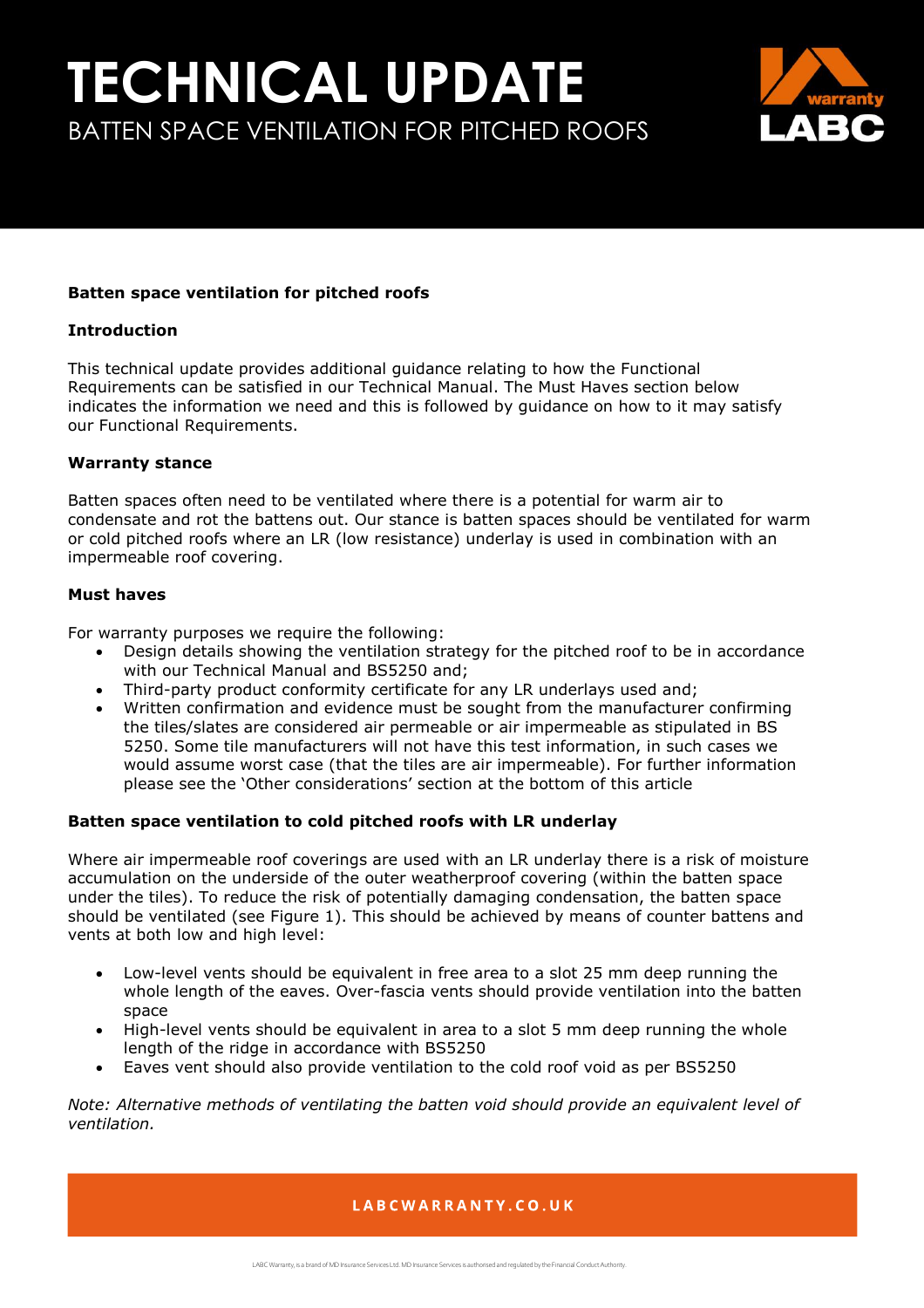

## **Batten space ventilation for pitched roofs**

### **Introduction**

This technical update provides additional guidance relating to how the Functional Requirements can be satisfied in our Technical Manual. The Must Haves section below indicates the information we need and this is followed by guidance on how to it may satisfy our Functional Requirements.

### **Warranty stance**

Batten spaces often need to be ventilated where there is a potential for warm air to condensate and rot the battens out. Our stance is batten spaces should be ventilated for warm or cold pitched roofs where an LR (low resistance) underlay is used in combination with an impermeable roof covering.

### **Must haves**

For warranty purposes we require the following:

- Design details showing the ventilation strategy for the pitched roof to be in accordance with our Technical Manual and BS5250 and;
- Third-party product conformity certificate for any LR underlays used and;
- Written confirmation and evidence must be sought from the manufacturer confirming the tiles/slates are considered air permeable or air impermeable as stipulated in BS 5250. Some tile manufacturers will not have this test information, in such cases we would assume worst case (that the tiles are air impermeable). For further information please see the 'Other considerations' section at the bottom of this article

### **Batten space ventilation to cold pitched roofs with LR underlay**

Where air impermeable roof coverings are used with an LR underlay there is a risk of moisture accumulation on the underside of the outer weatherproof covering (within the batten space under the tiles). To reduce the risk of potentially damaging condensation, the batten space should be ventilated (see Figure 1). This should be achieved by means of counter battens and vents at both low and high level:

- Low-level vents should be equivalent in free area to a slot 25 mm deep running the whole length of the eaves. Over-fascia vents should provide ventilation into the batten space
- High-level vents should be equivalent in area to a slot 5 mm deep running the whole length of the ridge in accordance with BS5250
- Eaves vent should also provide ventilation to the cold roof void as per BS5250

*Note: Alternative methods of ventilating the batten void should provide an equivalent level of ventilation.*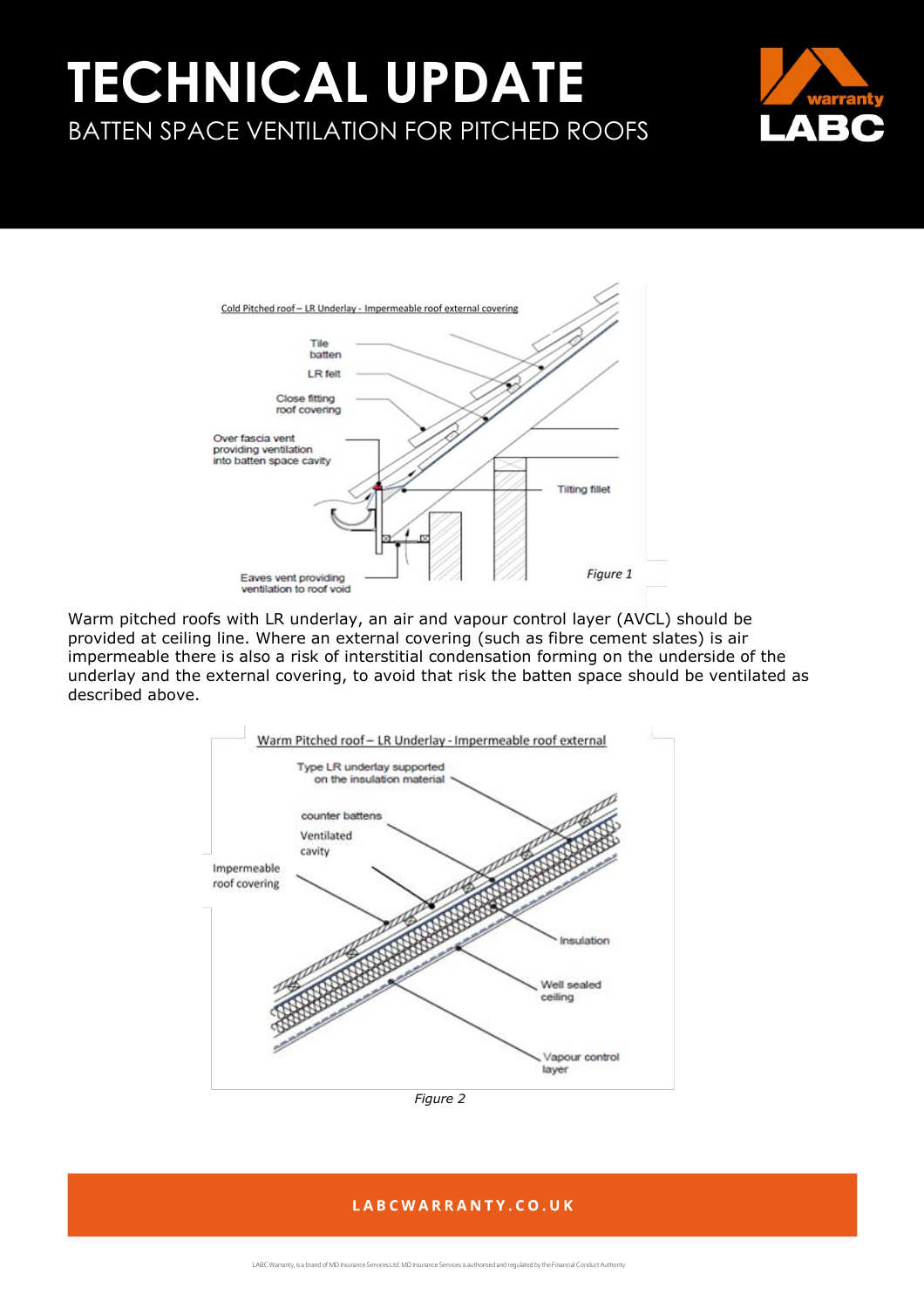



Warm pitched roofs with LR underlay, an air and vapour control layer (AVCL) should be provided at ceiling line. Where an external covering (such as fibre cement slates) is air impermeable there is also a risk of interstitial condensation forming on the underside of the underlay and the external covering, to avoid that risk the batten space should be ventilated as described above.



*Figure 2*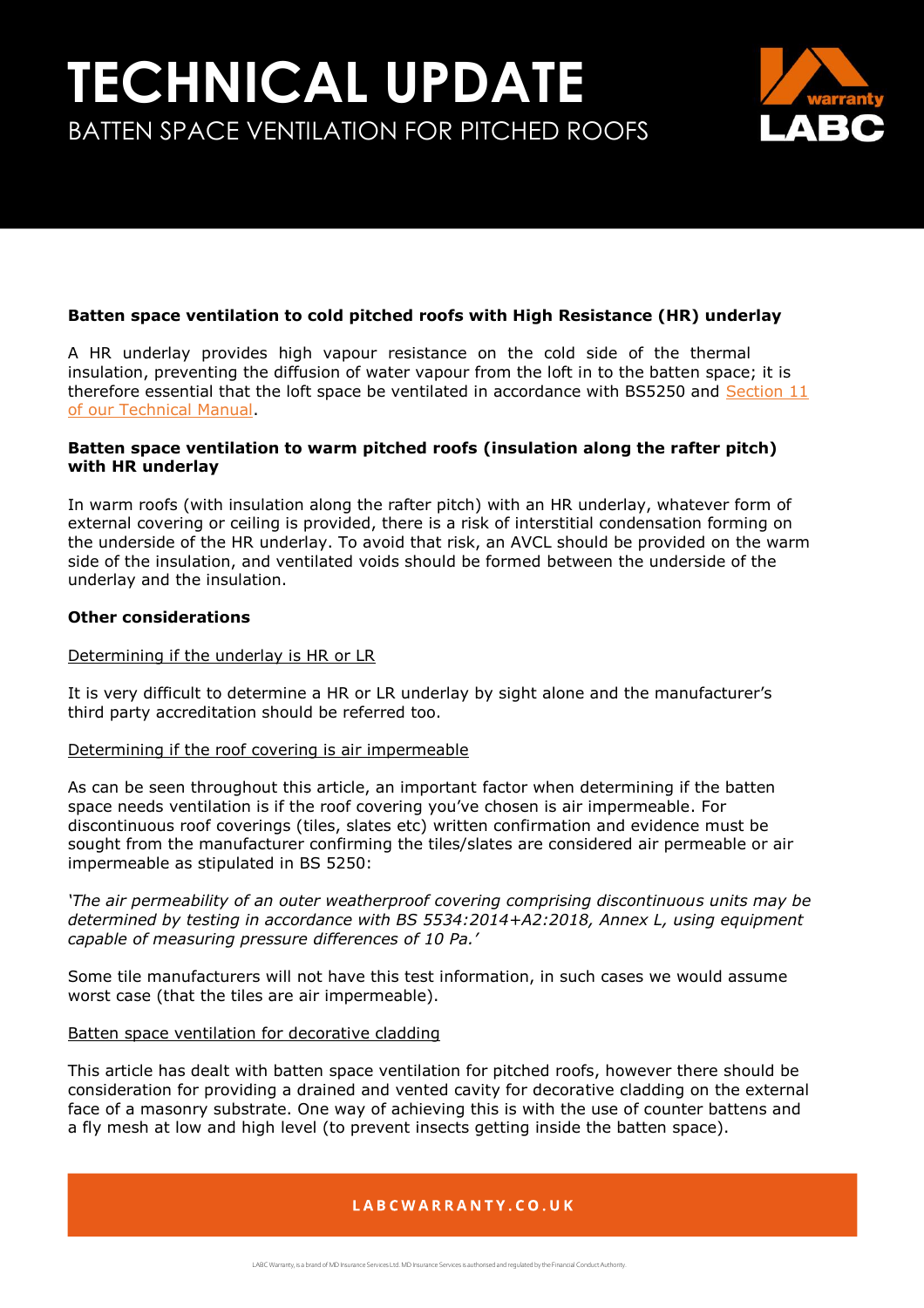

## **Batten space ventilation to cold pitched roofs with High Resistance (HR) underlay**

A HR underlay provides high vapour resistance on the cold side of the thermal insulation, preventing the diffusion of water vapour from the loft in to the batten space; it is therefore essential that the loft space be ventilated in accordance with BS5250 and Section 11 [of our Technical Manual.](https://info.labcwarranty.co.uk/technical-manual-s11)

## **Batten space ventilation to warm pitched roofs (insulation along the rafter pitch) with HR underlay**

In warm roofs (with insulation along the rafter pitch) with an HR underlay, whatever form of external covering or ceiling is provided, there is a risk of interstitial condensation forming on the underside of the HR underlay. To avoid that risk, an AVCL should be provided on the warm side of the insulation, and ventilated voids should be formed between the underside of the underlay and the insulation.

### **Other considerations**

### Determining if the underlay is HR or LR

It is very difficult to determine a HR or LR underlay by sight alone and the manufacturer's third party accreditation should be referred too.

### Determining if the roof covering is air impermeable

As can be seen throughout this article, an important factor when determining if the batten space needs ventilation is if the roof covering you've chosen is air impermeable. For discontinuous roof coverings (tiles, slates etc) written confirmation and evidence must be sought from the manufacturer confirming the tiles/slates are considered air permeable or air impermeable as stipulated in BS 5250:

*'The air permeability of an outer weatherproof covering comprising discontinuous units may be determined by testing in accordance with BS 5534:2014+A2:2018, Annex L, using equipment capable of measuring pressure differences of 10 Pa.'* 

Some tile manufacturers will not have this test information, in such cases we would assume worst case (that the tiles are air impermeable).

### Batten space ventilation for decorative cladding

This article has dealt with batten space ventilation for pitched roofs, however there should be consideration for providing a drained and vented cavity for decorative cladding on the external face of a masonry substrate. One way of achieving this is with the use of counter battens and a fly mesh at low and high level (to prevent insects getting inside the batten space).